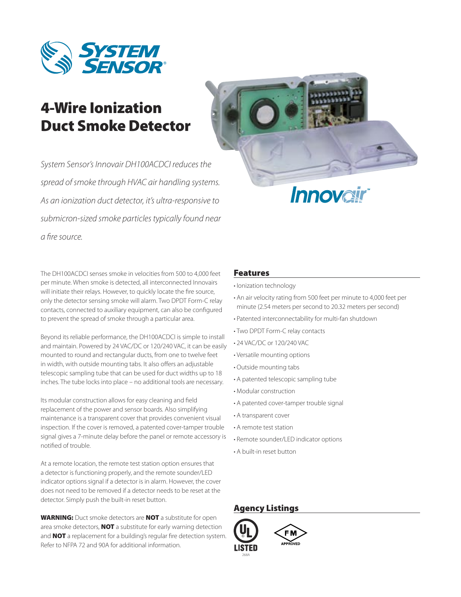

# 4-Wire Ionization Duct Smoke Detector

*System Sensor's Innovair DH100ACDCI reduces the spread of smoke through HVAC air handling systems. As an ionization duct detector, it's ultra-responsive to submicron-sized smoke particles typically found near a fire source.*



The DH100ACDCI senses smoke in velocities from 500 to 4,000 feet per minute. When smoke is detected, all interconnected Innovairs will initiate their relays. However, to quickly locate the fire source, only the detector sensing smoke will alarm. Two DPDT Form-C relay contacts, connected to auxiliary equipment, can also be configured to prevent the spread of smoke through a particular area.

Beyond its reliable performance, the DH100ACDCI is simple to install and maintain. Powered by 24 VAC/DC or 120/240 VAC, it can be easily mounted to round and rectangular ducts, from one to twelve feet in width, with outside mounting tabs. It also offers an adjustable telescopic sampling tube that can be used for duct widths up to 18 inches. The tube locks into place – no additional tools are necessary.

Its modular construction allows for easy cleaning and field replacement of the power and sensor boards. Also simplifying maintenance is a transparent cover that provides convenient visual inspection. If the cover is removed, a patented cover-tamper trouble signal gives a 7-minute delay before the panel or remote accessory is notified of trouble.

At a remote location, the remote test station option ensures that a detector is functioning properly, and the remote sounder/LED indicator options signal if a detector is in alarm. However, the cover does not need to be removed if a detector needs to be reset at the detector. Simply push the built-in reset button.

WARNING: Duct smoke detectors are NOT a substitute for open area smoke detectors, **NOT** a substitute for early warning detection and **NOT** a replacement for a building's regular fire detection system. Refer to NFPA 72 and 90A for additional information.

# Features

- · Ionization technology
- An air velocity rating from 500 feet per minute to 4,000 feet per minute (2.54 meters per second to 20.32 meters per second)
- Patented interconnectability for multi-fan shutdown •
- Two DPDT Form-C relay contacts •
- 24 VAC/DC or 120/240 VAC •
- Versatile mounting options •
- Outside mounting tabs •
- A patented telescopic sampling tube •
- Modular construction •
- A patented cover-tamper trouble signal •
- A transparent cover •
- A remote test station •
- Remote sounder/LED indicator options
- A built-in reset button •

# Agency Listings

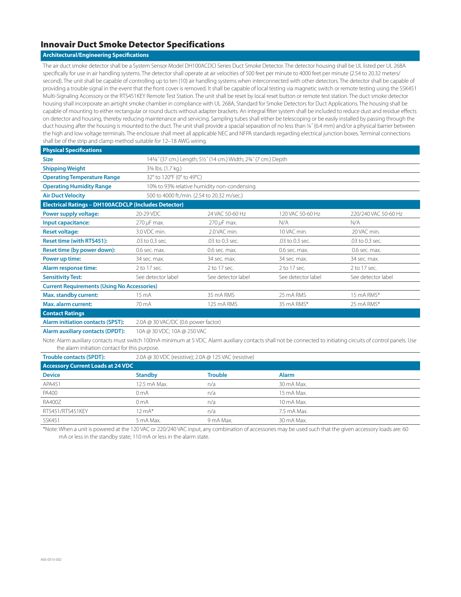## Innovair Duct Smoke Detector Specifications

### **Architectural/Engineering Specifications**

The air duct smoke detector shall be a System Sensor Model DH100ACDCI Series Duct Smoke Detector. The detector housing shall be UL listed per UL 268A specifically for use in air handling systems. The detector shall operate at air velocities of 500 feet per minute to 4000 feet per minute (2.54 to 20.32 meters/ second). The unit shall be capable of controlling up to ten (10) air handling systems when interconnected with other detectors. The detector shall be capable of providing a trouble signal in the event that the front cover is removed. It shall be capable of local testing via magnetic switch or remote testing using the SSK451 Multi-Signaling Accessory or the RTS451KEY Remote Test Station. The unit shall be reset by local reset button or remote test station. The duct smoke detector housing shall incorporate an airtight smoke chamber in compliance with UL 268A, Standard for Smoke Detectors for Duct Applications. The housing shall be capable of mounting to either rectangular or round ducts without adapter brackets. An integral filter system shall be included to reduce dust and residue effects on detector and housing, thereby reducing maintenance and servicing. Sampling tubes shall either be telescoping or be easily installed by passing through the duct housing after the housing is mounted to the duct. The unit shall provide a spacial separation of no less than ¼″ (6.4 mm) and/or a physical barrier between the high and low voltage terminals. The enclosure shall meet all applicable NEC and NFPA standards regarding electrical junction boxes. Terminal connections shall be of the strip and clamp method suitable for 12–18 AWG wiring.

| <b>Physical Specifications</b>                                                                                                                                                                                     |                                                              |                    |                    |                      |  |
|--------------------------------------------------------------------------------------------------------------------------------------------------------------------------------------------------------------------|--------------------------------------------------------------|--------------------|--------------------|----------------------|--|
| <b>Size</b>                                                                                                                                                                                                        | 14%" (37 cm.) Length; 5½" (14 cm.) Width; 234" (7 cm.) Depth |                    |                    |                      |  |
| <b>Shipping Weight</b>                                                                                                                                                                                             | 33/4 lbs. (1.7 kg.)                                          |                    |                    |                      |  |
| <b>Operating Temperature Range</b>                                                                                                                                                                                 | 32° to 120°F (0° to 49°C)                                    |                    |                    |                      |  |
| <b>Operating Humidity Range</b>                                                                                                                                                                                    | 10% to 93% relative humidity non-condensing                  |                    |                    |                      |  |
| <b>Air Duct Velocity</b>                                                                                                                                                                                           | 500 to 4000 ft./min. (2.54 to 20.32 m/sec.)                  |                    |                    |                      |  |
| <b>Electrical Ratings - DH100ACDCLP (Includes Detector)</b>                                                                                                                                                        |                                                              |                    |                    |                      |  |
| Power supply voltage:                                                                                                                                                                                              | 20-29 VDC                                                    | 24 VAC 50-60 Hz    | 120 VAC 50-60 Hz   | 220/240 VAC 50-60 Hz |  |
| Input capacitance:                                                                                                                                                                                                 | 270 µF max.                                                  | $270 \mu F$ max.   | N/A                | N/A                  |  |
| <b>Reset voltage:</b>                                                                                                                                                                                              | 3.0 VDC min.                                                 | 2.0 VAC min.       | 10 VAC min.        | 20 VAC min.          |  |
| <b>Reset time (with RTS451):</b>                                                                                                                                                                                   | .03 to 0.3 sec.                                              | .03 to 0.3 sec.    | .03 to 0.3 sec.    | .03 to 0.3 sec.      |  |
| Reset time (by power down):                                                                                                                                                                                        | 0.6 sec. max.                                                | 0.6 sec. max.      | 0.6 sec. max.      | 0.6 sec. max.        |  |
| Power up time:                                                                                                                                                                                                     | 34 sec. max.                                                 | 34 sec. max.       | 34 sec. max.       | 34 sec. max.         |  |
| Alarm response time:                                                                                                                                                                                               | 2 to 17 sec.                                                 | 2 to 17 sec.       | 2 to 17 sec.       | 2 to 17 sec.         |  |
| <b>Sensitivity Test:</b>                                                                                                                                                                                           | See detector label                                           | See detector label | See detector label | See detector label   |  |
| <b>Current Requirements (Using No Accessories)</b>                                                                                                                                                                 |                                                              |                    |                    |                      |  |
| Max. standby current:                                                                                                                                                                                              | 15 mA                                                        | 35 mA RMS          | 25 mA RMS          | 15 mA RMS*           |  |
| <b>Max. alarm current:</b>                                                                                                                                                                                         | 70 mA                                                        | 125 mA RMS         | 35 mA RMS*         | 25 mA RMS*           |  |
| <b>Contact Ratings</b>                                                                                                                                                                                             |                                                              |                    |                    |                      |  |
| <b>Alarm initiation contacts (SPST):</b>                                                                                                                                                                           | 2.0A @ 30 VAC/DC (0.6 power factor)                          |                    |                    |                      |  |
| <b>Alarm auxiliary contacts (DPDT):</b>                                                                                                                                                                            | 10A @ 30 VDC; 10A @ 250 VAC                                  |                    |                    |                      |  |
| Note: Alarm auxiliary contacts must switch 100mA minimum at 5 VDC. Alarm auxiliary contacts shall not be connected to initiating circuits of control panels. Use<br>the alarm initiation contact for this purpose. |                                                              |                    |                    |                      |  |
| <b>Trouble contacts (SPDT):</b>                                                                                                                                                                                    | 2.0A @ 30 VDC (resistive); 2.0A @ 125 VAC (resistive)        |                    |                    |                      |  |

| <b>Accessory Current Loads at 24 VDC</b> |                   |                |              |  |  |
|------------------------------------------|-------------------|----------------|--------------|--|--|
| <b>Device</b>                            | <b>Standby</b>    | <b>Trouble</b> | <b>Alarm</b> |  |  |
| APA451                                   | 12.5 mA Max.      | n/a            | 30 mA Max.   |  |  |
| <b>PA400</b>                             | 0 <sub>m</sub> A  | n/a            | 15 mA Max.   |  |  |
| <b>RA400Z</b>                            | 0 <sub>m</sub> A  | n/a            | 10 mA Max.   |  |  |
| RTS451/RTS451KEY                         | $12 \text{ mA}^*$ | n/a            | 7.5 mA Max.  |  |  |
| <b>SSK451</b>                            | 5 mA Max.         | 9 mA Max.      | 30 mA Max.   |  |  |

\*Note: When a unit is powered at the 120 VAC or 220/240 VAC input, any combination of accessories may be used such that the given accessory loads are: 60 mA or less in the standby state; 110 mA or less in the alarm state.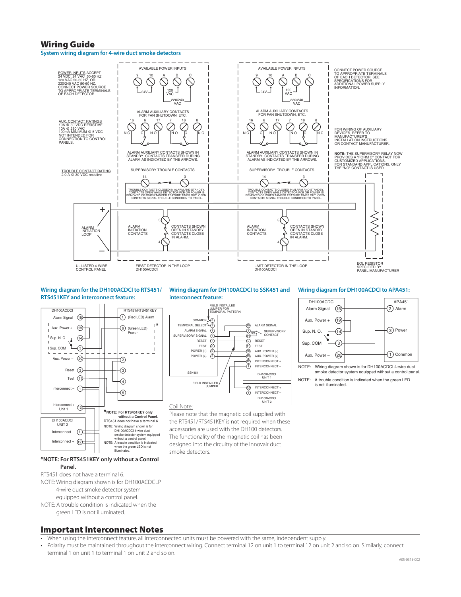## Wiring Guide

#### **System wiring diagram for 4-wire duct smoke detectors**



#### **Wiring diagram for the DH100ACDCI to RTS451/ RTS451KEY and interconnect feature:**



#### **\*NOTE: For RTS451KEY only without a Control Panel.**

#### RTS451 does not have a terminal 6.

NOTE: Wiring diagram shown is for DH100ACDCLP 4-wire duct smoke detector system

equipped without a control panel. NOTE: A trouble condition is indicated when the

green LED is not illuminated.

#### **Wiring diagram for DH100ACDCI to SSK451 and interconnect feature:**



#### Coil Note:

Please note that the magnetic coil supplied with the RTS451/RTS451KEY is not required when these accessories are used with the DH100 detectors. The functionality of the magnetic coil has been designed into the circuitry of the Innovair duct smoke detectors.

#### **Wiring diagram for DH100ACDCI to APA451:**



NOTE: A trouble condition is indicated when the green LED is not illuminated.

## Important Interconnect Notes

- When using the interconnect feature, all interconnected units must be powered with the same, independent supply.
- Polarity must be maintained throughout the interconnect wiring. Connect terminal 12 on unit 1 to terminal 12 on unit 2 and so on. Similarly, connect terminal 1 on unit 1 to terminal 1 on unit 2 and so on.